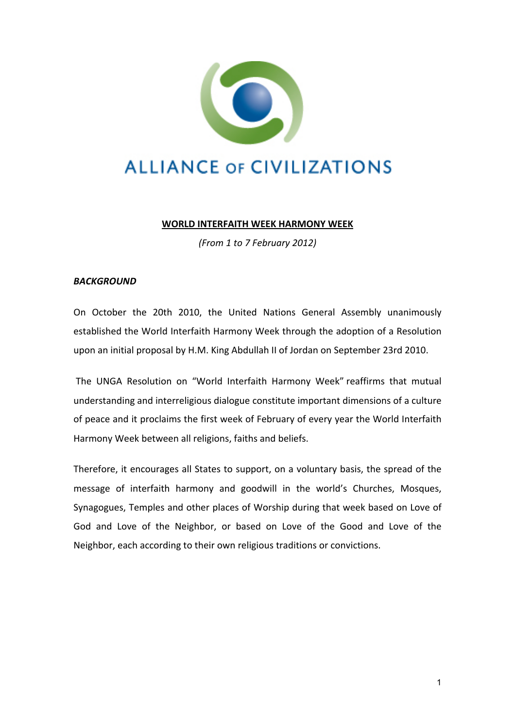

## **WORLD INTERFAITH WEEK HARMONY WEEK**

*(From 1 to 7 February 2012)*

## *BACKGROUND*

On October the 20th 2010, the United Nations General Assembly unanimously established the World Interfaith Harmony Week through the adoption of a Resolution upon an initial proposal by H.M. King Abdullah II of Jordan on September 23rd 2010.

The UNGA Resolution on "World Interfaith Harmony Week" reaffirms that mutual understanding and interreligious dialogue constitute important dimensions of a culture of peace and it proclaims the first week of February of every year the World Interfaith Harmony Week between all religions, faiths and beliefs.

Therefore, it encourages all States to support, on a voluntary basis, the spread of the message of interfaith harmony and goodwill in the world's Churches, Mosques, Synagogues, Temples and other places of Worship during that week based on Love of God and Love of the Neighbor, or based on Love of the Good and Love of the Neighbor, each according to their own religious traditions or convictions.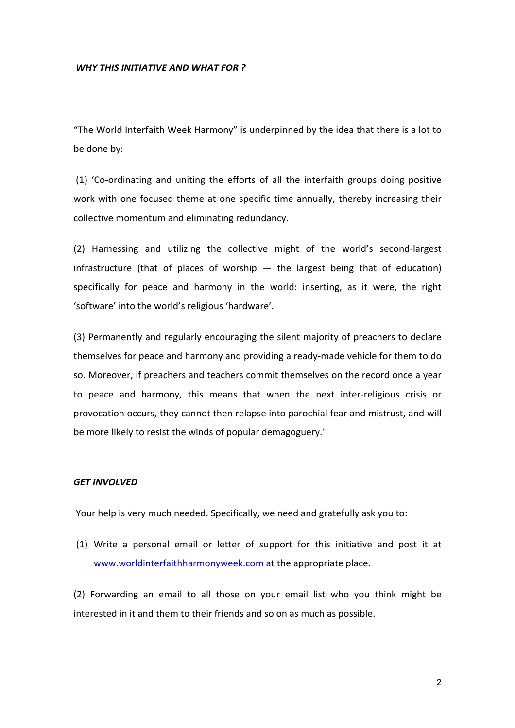## *WHY THIS INITIATIVE AND WHAT FOR ?*

"The World Interfaith Week Harmony" is underpinned by the idea that there is a lot to be done by:

(1) 'Co-ordinating and uniting the efforts of all the interfaith groups doing positive work with one focused theme at one specific time annually, thereby increasing their collective momentum and eliminating redundancy.

(2) Harnessing and utilizing the collective might of the world's second-largest infrastructure (that of places of worship  $-$  the largest being that of education) specifically for peace and harmony in the world: inserting, as it were, the right 'software' into the world's religious 'hardware'.

(3) Permanently and regularly encouraging the silent majority of preachers to declare themselves for peace and harmony and providing a ready-made vehicle for them to do so. Moreover, if preachers and teachers commit themselves on the record once a year to peace and harmony, this means that when the next inter-religious crisis or provocation occurs, they cannot then relapse into parochial fear and mistrust, and will be more likely to resist the winds of popular demagoguery.'

## **GET INVOLVED**

Your help is very much needed. Specifically, we need and gratefully ask you to:

(1) Write a personal email or letter of support for this initiative and post it at www.worldinterfaithharmonyweek.com at the appropriate place.

(2) Forwarding an email to all those on your email list who you think might be interested in it and them to their friends and so on as much as possible.

2